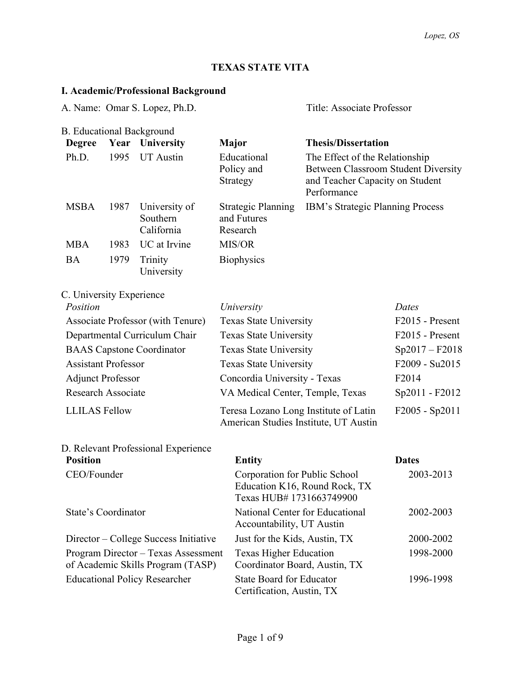# **TEXAS STATE VITA**

# **I. Academic/Professional Background**

| A. Name: Omar S. Lopez, Ph.D.                                            |      |                                         | Title: Associate Professor    |                                                                                |                                                                                                                                |                |
|--------------------------------------------------------------------------|------|-----------------------------------------|-------------------------------|--------------------------------------------------------------------------------|--------------------------------------------------------------------------------------------------------------------------------|----------------|
|                                                                          |      | <b>B.</b> Educational Background        |                               |                                                                                |                                                                                                                                |                |
| <b>Degree</b>                                                            |      | Year University                         | <b>Major</b>                  |                                                                                | <b>Thesis/Dissertation</b>                                                                                                     |                |
| Ph.D.                                                                    | 1995 | <b>UT</b> Austin                        |                               | Educational<br>Policy and<br>Strategy                                          | The Effect of the Relationship<br><b>Between Classroom Student Diversity</b><br>and Teacher Capacity on Student<br>Performance |                |
| <b>MSBA</b>                                                              | 1987 | University of<br>Southern<br>California |                               | <b>Strategic Planning</b><br>and Futures<br>Research                           | IBM's Strategic Planning Process                                                                                               |                |
| <b>MBA</b>                                                               | 1983 | UC at Irvine                            |                               | MIS/OR                                                                         |                                                                                                                                |                |
| <b>BA</b>                                                                | 1979 | Trinity<br>University                   |                               | <b>Biophysics</b>                                                              |                                                                                                                                |                |
| C. University Experience                                                 |      |                                         |                               |                                                                                |                                                                                                                                |                |
| Position                                                                 |      |                                         |                               | University                                                                     |                                                                                                                                | Dates          |
| Associate Professor (with Tenure)                                        |      |                                         | Texas State University        |                                                                                | F2015 - Present                                                                                                                |                |
|                                                                          |      | Departmental Curriculum Chair           | <b>Texas State University</b> |                                                                                | F2015 - Present                                                                                                                |                |
| <b>BAAS</b> Capstone Coordinator                                         |      |                                         | Texas State University        |                                                                                | $Sp2017 - F2018$                                                                                                               |                |
| <b>Assistant Professor</b>                                               |      |                                         | <b>Texas State University</b> |                                                                                | F2009 - Su2015                                                                                                                 |                |
| <b>Adjunct Professor</b>                                                 |      |                                         | Concordia University - Texas  |                                                                                | F <sub>2014</sub>                                                                                                              |                |
| <b>Research Associate</b>                                                |      |                                         |                               | VA Medical Center, Temple, Texas                                               |                                                                                                                                | Sp2011 - F2012 |
| <b>LLILAS</b> Fellow                                                     |      |                                         |                               | Teresa Lozano Long Institute of Latin<br>American Studies Institute, UT Austin |                                                                                                                                | F2005 - Sp2011 |
|                                                                          |      | D. Relevant Professional Experience     |                               |                                                                                |                                                                                                                                |                |
| <b>Position</b>                                                          |      |                                         |                               | <b>Entity</b>                                                                  |                                                                                                                                | <b>Dates</b>   |
| CEO/Founder                                                              |      |                                         |                               | Corporation for Public School<br>Texas HUB# 1731663749900                      | Education K16, Round Rock, TX                                                                                                  | 2003-2013      |
| State's Coordinator                                                      |      |                                         |                               | National Center for Educational<br>Accountability, UT Austin                   |                                                                                                                                | 2002-2003      |
| Director – College Success Initiative                                    |      |                                         |                               | Just for the Kids, Austin, TX                                                  |                                                                                                                                | 2000-2002      |
| Program Director – Texas Assessment<br>of Academic Skills Program (TASP) |      |                                         |                               | <b>Texas Higher Education</b><br>Coordinator Board, Austin, TX                 |                                                                                                                                | 1998-2000      |
| <b>Educational Policy Researcher</b>                                     |      |                                         |                               | <b>State Board for Educator</b><br>Certification, Austin, TX                   |                                                                                                                                | 1996-1998      |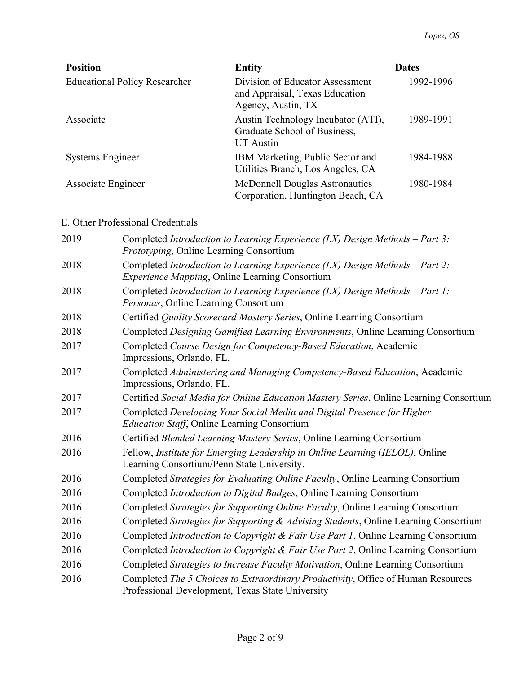| <b>Position</b>                      | <b>Entity</b>                                                                           | <b>Dates</b> |
|--------------------------------------|-----------------------------------------------------------------------------------------|--------------|
| <b>Educational Policy Researcher</b> | Division of Educator Assessment<br>and Appraisal, Texas Education<br>Agency, Austin, TX | 1992-1996    |
| Associate                            | Austin Technology Incubator (ATI),<br>Graduate School of Business,<br>UT Austin         | 1989-1991    |
| <b>Systems Engineer</b>              | IBM Marketing, Public Sector and<br>Utilities Branch, Los Angeles, CA                   | 1984-1988    |
| Associate Engineer                   | McDonnell Douglas Astronautics<br>Corporation, Huntington Beach, CA                     | 1980-1984    |

## E. Other Professional Credentials

| 2019 | Completed Introduction to Learning Experience $(LX)$ Design Methods – Part 3:<br>Prototyping, Online Learning Consortium             |
|------|--------------------------------------------------------------------------------------------------------------------------------------|
| 2018 | Completed Introduction to Learning Experience (LX) Design Methods - Part 2:<br><b>Experience Mapping, Online Learning Consortium</b> |
| 2018 | Completed Introduction to Learning Experience (LX) Design Methods - Part 1:<br>Personas, Online Learning Consortium                  |
| 2018 | Certified Quality Scorecard Mastery Series, Online Learning Consortium                                                               |
| 2018 | Completed Designing Gamified Learning Environments, Online Learning Consortium                                                       |
| 2017 | Completed Course Design for Competency-Based Education, Academic<br>Impressions, Orlando, FL.                                        |
| 2017 | Completed Administering and Managing Competency-Based Education, Academic<br>Impressions, Orlando, FL.                               |
| 2017 | Certified Social Media for Online Education Mastery Series, Online Learning Consortium                                               |
| 2017 | Completed Developing Your Social Media and Digital Presence for Higher<br>Education Staff, Online Learning Consortium                |
| 2016 | Certified Blended Learning Mastery Series, Online Learning Consortium                                                                |
| 2016 | Fellow, Institute for Emerging Leadership in Online Learning (IELOL), Online<br>Learning Consortium/Penn State University.           |
| 2016 | Completed Strategies for Evaluating Online Faculty, Online Learning Consortium                                                       |
| 2016 | Completed Introduction to Digital Badges, Online Learning Consortium                                                                 |
| 2016 | Completed Strategies for Supporting Online Faculty, Online Learning Consortium                                                       |
| 2016 | Completed Strategies for Supporting & Advising Students, Online Learning Consortium                                                  |
| 2016 | Completed <i>Introduction to Copyright &amp; Fair Use Part 1</i> , Online Learning Consortium                                        |
| 2016 | Completed Introduction to Copyright & Fair Use Part 2, Online Learning Consortium                                                    |
| 2016 | Completed Strategies to Increase Faculty Motivation, Online Learning Consortium                                                      |
| 2016 | Completed The 5 Choices to Extraordinary Productivity, Office of Human Resources<br>Professional Development, Texas State University |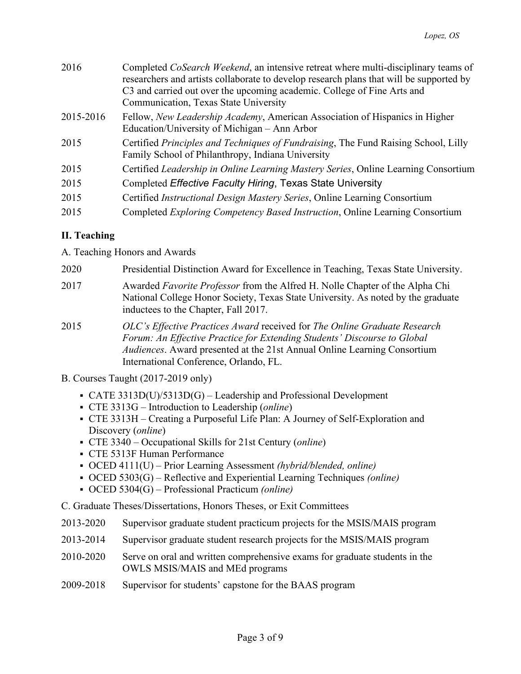| 2016      | Completed <i>CoSearch Weekend</i> , an intensive retreat where multi-disciplinary teams of<br>researchers and artists collaborate to develop research plans that will be supported by<br>C3 and carried out over the upcoming academic. College of Fine Arts and<br>Communication, Texas State University |
|-----------|-----------------------------------------------------------------------------------------------------------------------------------------------------------------------------------------------------------------------------------------------------------------------------------------------------------|
| 2015-2016 | Fellow, <i>New Leadership Academy</i> , American Association of Hispanics in Higher<br>Education/University of Michigan – Ann Arbor                                                                                                                                                                       |
| 2015      | Certified Principles and Techniques of Fundraising, The Fund Raising School, Lilly<br>Family School of Philanthropy, Indiana University                                                                                                                                                                   |
| 2015      | Certified Leadership in Online Learning Mastery Series, Online Learning Consortium                                                                                                                                                                                                                        |
| 2015      | Completed Effective Faculty Hiring, Texas State University                                                                                                                                                                                                                                                |
| 2015      | Certified Instructional Design Mastery Series, Online Learning Consortium                                                                                                                                                                                                                                 |
| 2015      | Completed <i>Exploring Competency Based Instruction</i> , Online Learning Consortium                                                                                                                                                                                                                      |

### **II. Teaching**

A. Teaching Honors and Awards

- 2020 Presidential Distinction Award for Excellence in Teaching, Texas State University.
- 2017 Awarded *Favorite Professor* from the Alfred H. Nolle Chapter of the Alpha Chi National College Honor Society, Texas State University. As noted by the graduate inductees to the Chapter, Fall 2017.
- 2015 *OLC's Effective Practices Award* received for *The Online Graduate Research Forum: An Effective Practice for Extending Students' Discourse to Global Audiences*. Award presented at the 21st Annual Online Learning Consortium International Conference, Orlando, FL.
- B. Courses Taught (2017-2019 only)
	- CATE 3313D(U)/5313D(G) Leadership and Professional Development
	- CTE 3313G Introduction to Leadership (*online*)
	- CTE 3313H Creating a Purposeful Life Plan: A Journey of Self-Exploration and Discovery (*online*)
	- CTE 3340 Occupational Skills for 21st Century (*online*)
	- CTE 5313F Human Performance
	- OCED 4111(U) Prior Learning Assessment *(hybrid/blended, online)*
	- OCED 5303(G) Reflective and Experiential Learning Techniques *(online)*
	- OCED 5304(G) Professional Practicum *(online)*
- C. Graduate Theses/Dissertations, Honors Theses, or Exit Committees
- 2013-2020 Supervisor graduate student practicum projects for the MSIS/MAIS program
- 2013-2014 Supervisor graduate student research projects for the MSIS/MAIS program
- 2010-2020 Serve on oral and written comprehensive exams for graduate students in the OWLS MSIS/MAIS and MEd programs
- 2009-2018 Supervisor for students' capstone for the BAAS program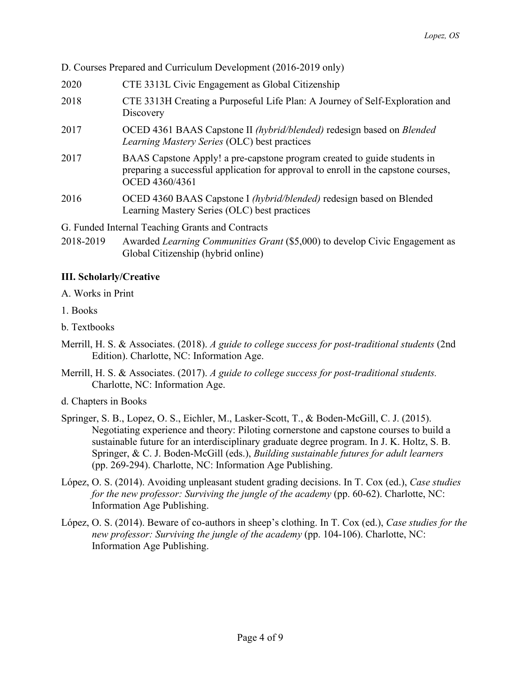D. Courses Prepared and Curriculum Development (2016-2019 only)

- 2020 CTE 3313L Civic Engagement as Global Citizenship
- 2018 CTE 3313H Creating a Purposeful Life Plan: A Journey of Self-Exploration and **Discovery**
- 2017 OCED 4361 BAAS Capstone II *(hybrid/blended)* redesign based on *Blended Learning Mastery Series* (OLC) best practices
- 2017 BAAS Capstone Apply! a pre-capstone program created to guide students in preparing a successful application for approval to enroll in the capstone courses, OCED 4360/4361
- 2016 OCED 4360 BAAS Capstone I *(hybrid/blended)* redesign based on Blended Learning Mastery Series (OLC) best practices

G. Funded Internal Teaching Grants and Contracts

2018-2019 Awarded *Learning Communities Grant* (\$5,000) to develop Civic Engagement as Global Citizenship (hybrid online)

### **III. Scholarly/Creative**

- A. Works in Print
- 1. Books
- b. Textbooks
- Merrill, H. S. & Associates. (2018). *A guide to college success for post-traditional students* (2nd Edition). Charlotte, NC: Information Age.
- Merrill, H. S. & Associates. (2017). *A guide to college success for post-traditional students.* Charlotte, NC: Information Age.
- d. Chapters in Books
- Springer, S. B., Lopez, O. S., Eichler, M., Lasker-Scott, T., & Boden-McGill, C. J. (2015). Negotiating experience and theory: Piloting cornerstone and capstone courses to build a sustainable future for an interdisciplinary graduate degree program. In J. K. Holtz, S. B. Springer, & C. J. Boden-McGill (eds.), *Building sustainable futures for adult learners* (pp. 269-294). Charlotte, NC: Information Age Publishing.
- López, O. S. (2014). Avoiding unpleasant student grading decisions. In T. Cox (ed.), *Case studies for the new professor: Surviving the jungle of the academy* (pp. 60-62). Charlotte, NC: Information Age Publishing.
- López, O. S. (2014). Beware of co-authors in sheep's clothing. In T. Cox (ed.), *Case studies for the new professor: Surviving the jungle of the academy* (pp. 104-106). Charlotte, NC: Information Age Publishing.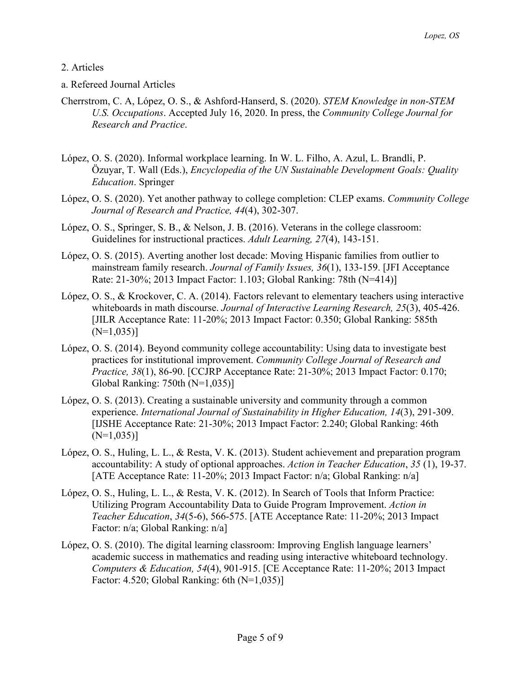#### 2. Articles

- a. Refereed Journal Articles
- Cherrstrom, C. A, López, O. S., & Ashford-Hanserd, S. (2020). *STEM Knowledge in non-STEM U.S. Occupations*. Accepted July 16, 2020. In press, the *Community College Journal for Research and Practice*.
- López, O. S. (2020). Informal workplace learning. In W. L. Filho, A. Azul, L. Brandli, P. Özuyar, T. Wall (Eds.), *Encyclopedia of the UN Sustainable Development Goals: Quality Education*. Springer
- López, O. S. (2020). Yet another pathway to college completion: CLEP exams. *Community College Journal of Research and Practice, 44*(4), 302-307.
- López, O. S., Springer, S. B., & Nelson, J. B. (2016). Veterans in the college classroom: Guidelines for instructional practices. *Adult Learning, 27*(4), 143-151.
- López, O. S. (2015). Averting another lost decade: Moving Hispanic families from outlier to mainstream family research. *Journal of Family Issues, 36*(1), 133-159. [JFI Acceptance Rate: 21-30%; 2013 Impact Factor: 1.103; Global Ranking: 78th (N=414)]
- López, O. S., & Krockover, C. A. (2014). Factors relevant to elementary teachers using interactive whiteboards in math discourse. *Journal of Interactive Learning Research, 25*(3), 405-426. [JILR Acceptance Rate: 11-20%; 2013 Impact Factor: 0.350; Global Ranking: 585th  $(N=1,035)$ ]
- López, O. S. (2014). Beyond community college accountability: Using data to investigate best practices for institutional improvement. *Community College Journal of Research and Practice, 38*(1), 86-90. [CCJRP Acceptance Rate: 21-30%; 2013 Impact Factor: 0.170; Global Ranking: 750th (N=1,035)]
- López, O. S. (2013). Creating a sustainable university and community through a common experience. *International Journal of Sustainability in Higher Education, 14*(3), 291-309. [IJSHE Acceptance Rate: 21-30%; 2013 Impact Factor: 2.240; Global Ranking: 46th  $(N=1,035)$ ]
- López, O. S., Huling, L. L., & Resta, V. K. (2013). Student achievement and preparation program accountability: A study of optional approaches. *Action in Teacher Education*, *35* (1), 19-37. [ATE Acceptance Rate: 11-20%; 2013 Impact Factor: n/a; Global Ranking: n/a]
- López, O. S., Huling, L. L., & Resta, V. K. (2012). In Search of Tools that Inform Practice: Utilizing Program Accountability Data to Guide Program Improvement. *Action in Teacher Education*, *34*(5-6), 566-575. [ATE Acceptance Rate: 11-20%; 2013 Impact Factor: n/a; Global Ranking: n/a]
- López, O. S. (2010). The digital learning classroom: Improving English language learners' academic success in mathematics and reading using interactive whiteboard technology. *Computers & Education, 54*(4), 901-915. [CE Acceptance Rate: 11-20%; 2013 Impact Factor: 4.520; Global Ranking: 6th (N=1,035)]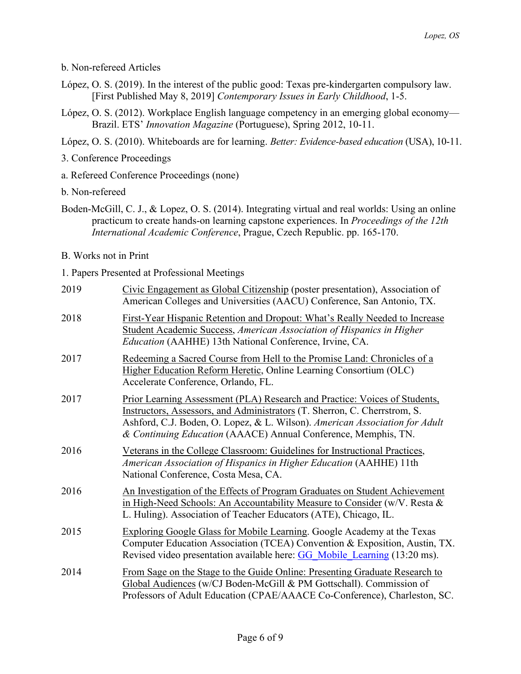b. Non-refereed Articles

- López, O. S. (2019). In the interest of the public good: Texas pre-kindergarten compulsory law. [First Published May 8, 2019] *Contemporary Issues in Early Childhood*, 1-5.
- López, O. S. (2012). Workplace English language competency in an emerging global economy— Brazil. ETS' *Innovation Magazine* (Portuguese), Spring 2012, 10-11.

López, O. S. (2010). Whiteboards are for learning. *Better: Evidence-based education* (USA), 10-11.

3. Conference Proceedings

a. Refereed Conference Proceedings (none)

b. Non-refereed

Boden-McGill, C. J., & Lopez, O. S. (2014). Integrating virtual and real worlds: Using an online practicum to create hands-on learning capstone experiences. In *Proceedings of the 12th International Academic Conference*, Prague, Czech Republic. pp. 165-170.

B. Works not in Print

1. Papers Presented at Professional Meetings

| 2019 | Civic Engagement as Global Citizenship (poster presentation), Association of<br>American Colleges and Universities (AACU) Conference, San Antonio, TX.                                                                                                                                                          |
|------|-----------------------------------------------------------------------------------------------------------------------------------------------------------------------------------------------------------------------------------------------------------------------------------------------------------------|
| 2018 | First-Year Hispanic Retention and Dropout: What's Really Needed to Increase<br>Student Academic Success, American Association of Hispanics in Higher<br>Education (AAHHE) 13th National Conference, Irvine, CA.                                                                                                 |
| 2017 | Redeeming a Sacred Course from Hell to the Promise Land: Chronicles of a<br>Higher Education Reform Heretic, Online Learning Consortium (OLC)<br>Accelerate Conference, Orlando, FL.                                                                                                                            |
| 2017 | <b>Prior Learning Assessment (PLA) Research and Practice: Voices of Students,</b><br>Instructors, Assessors, and Administrators (T. Sherron, C. Cherrstrom, S.<br>Ashford, C.J. Boden, O. Lopez, & L. Wilson). American Association for Adult<br>& Continuing Education (AAACE) Annual Conference, Memphis, TN. |
| 2016 | Veterans in the College Classroom: Guidelines for Instructional Practices,<br>American Association of Hispanics in Higher Education (AAHHE) 11th<br>National Conference, Costa Mesa, CA.                                                                                                                        |
| 2016 | An Investigation of the Effects of Program Graduates on Student Achievement<br>in High-Need Schools: An Accountability Measure to Consider (w/V. Resta &<br>L. Huling). Association of Teacher Educators (ATE), Chicago, IL.                                                                                    |
| 2015 | Exploring Google Glass for Mobile Learning. Google Academy at the Texas<br>Computer Education Association (TCEA) Convention & Exposition, Austin, TX.<br>Revised video presentation available here: GG Mobile Learning (13:20 ms).                                                                              |
| 2014 | From Sage on the Stage to the Guide Online: Presenting Graduate Research to<br>Global Audiences (w/CJ Boden-McGill & PM Gottschall). Commission of<br>Professors of Adult Education (CPAE/AAACE Co-Conference), Charleston, SC.                                                                                 |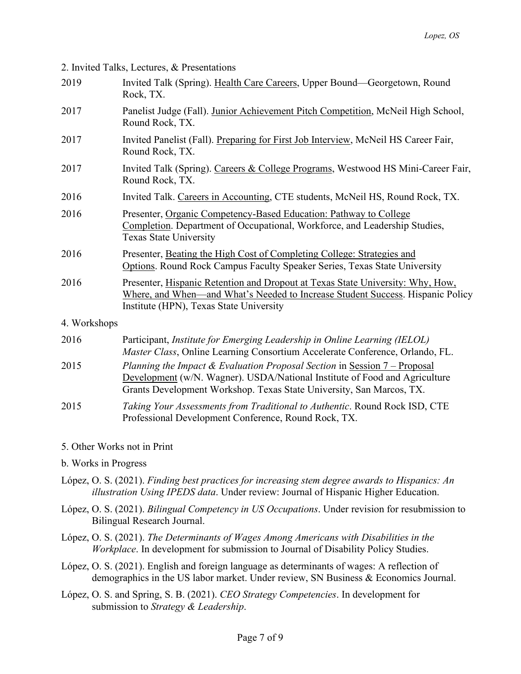2. Invited Talks, Lectures, & Presentations

| 2019         | Invited Talk (Spring). Health Care Careers, Upper Bound—Georgetown, Round<br>Rock, TX.                                                                                                                                          |
|--------------|---------------------------------------------------------------------------------------------------------------------------------------------------------------------------------------------------------------------------------|
| 2017         | Panelist Judge (Fall). Junior Achievement Pitch Competition, McNeil High School,<br>Round Rock, TX.                                                                                                                             |
| 2017         | Invited Panelist (Fall). Preparing for First Job Interview, McNeil HS Career Fair,<br>Round Rock, TX.                                                                                                                           |
| 2017         | Invited Talk (Spring). Careers & College Programs, Westwood HS Mini-Career Fair,<br>Round Rock, TX.                                                                                                                             |
| 2016         | Invited Talk. Careers in Accounting, CTE students, McNeil HS, Round Rock, TX.                                                                                                                                                   |
| 2016         | Presenter, Organic Competency-Based Education: Pathway to College<br>Completion. Department of Occupational, Workforce, and Leadership Studies,<br><b>Texas State University</b>                                                |
| 2016         | Presenter, Beating the High Cost of Completing College: Strategies and<br>Options. Round Rock Campus Faculty Speaker Series, Texas State University                                                                             |
| 2016         | Presenter, Hispanic Retention and Dropout at Texas State University: Why, How,<br>Where, and When—and What's Needed to Increase Student Success. Hispanic Policy<br>Institute (HPN), Texas State University                     |
| 4. Workshops |                                                                                                                                                                                                                                 |
| 2016         | Participant, Institute for Emerging Leadership in Online Learning (IELOL)<br>Master Class, Online Learning Consortium Accelerate Conference, Orlando, FL.                                                                       |
| 2015         | Planning the Impact & Evaluation Proposal Section in Session 7 – Proposal<br>Development (w/N. Wagner). USDA/National Institute of Food and Agriculture<br>Grants Development Workshop. Texas State University, San Marcos, TX. |
| 2015         | Taking Your Assessments from Traditional to Authentic. Round Rock ISD, CTE<br>Professional Development Conference, Round Rock, TX.                                                                                              |

#### 5. Other Works not in Print

b. Works in Progress

- López, O. S. (2021). *Finding best practices for increasing stem degree awards to Hispanics: An illustration Using IPEDS data*. Under review: Journal of Hispanic Higher Education.
- López, O. S. (2021). *Bilingual Competency in US Occupations*. Under revision for resubmission to Bilingual Research Journal.
- López, O. S. (2021). *The Determinants of Wages Among Americans with Disabilities in the Workplace*. In development for submission to Journal of Disability Policy Studies.
- López, O. S. (2021). English and foreign language as determinants of wages: A reflection of demographics in the US labor market. Under review, SN Business & Economics Journal.
- López, O. S. and Spring, S. B. (2021). *CEO Strategy Competencies*. In development for submission to *Strategy & Leadership*.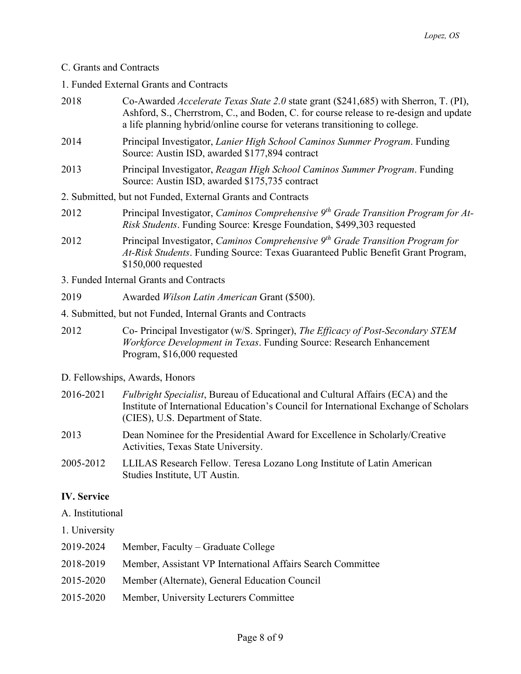# C. Grants and Contracts

1. Funded External Grants and Contracts

| 2018      | Co-Awarded <i>Accelerate Texas State 2.0</i> state grant (\$241,685) with Sherron, T. (PI),<br>Ashford, S., Cherrstrom, C., and Boden, C. for course release to re-design and update<br>a life planning hybrid/online course for veterans transitioning to college. |  |  |
|-----------|---------------------------------------------------------------------------------------------------------------------------------------------------------------------------------------------------------------------------------------------------------------------|--|--|
| 2014      | Principal Investigator, Lanier High School Caminos Summer Program. Funding<br>Source: Austin ISD, awarded \$177,894 contract                                                                                                                                        |  |  |
| 2013      | Principal Investigator, Reagan High School Caminos Summer Program. Funding<br>Source: Austin ISD, awarded \$175,735 contract                                                                                                                                        |  |  |
|           | 2. Submitted, but not Funded, External Grants and Contracts                                                                                                                                                                                                         |  |  |
| 2012      | Principal Investigator, Caminos Comprehensive 9 <sup>th</sup> Grade Transition Program for At-<br>Risk Students. Funding Source: Kresge Foundation, \$499,303 requested                                                                                             |  |  |
| 2012      | Principal Investigator, Caminos Comprehensive 9 <sup>th</sup> Grade Transition Program for<br>At-Risk Students. Funding Source: Texas Guaranteed Public Benefit Grant Program,<br>\$150,000 requested                                                               |  |  |
|           | 3. Funded Internal Grants and Contracts                                                                                                                                                                                                                             |  |  |
| 2019      | Awarded Wilson Latin American Grant (\$500).                                                                                                                                                                                                                        |  |  |
|           | 4. Submitted, but not Funded, Internal Grants and Contracts                                                                                                                                                                                                         |  |  |
| 2012      | Co- Principal Investigator (w/S. Springer), The Efficacy of Post-Secondary STEM<br>Workforce Development in Texas. Funding Source: Research Enhancement<br>Program, \$16,000 requested                                                                              |  |  |
|           | D. Fellowships, Awards, Honors                                                                                                                                                                                                                                      |  |  |
| 2016-2021 | <i>Fulbright Specialist</i> , Bureau of Educational and Cultural Affairs (ECA) and the<br>Institute of International Education's Council for International Exchange of Scholars<br>(CIES), U.S. Department of State.                                                |  |  |
| 2013      | Dean Nominee for the Presidential Award for Excellence in Scholarly/Creative<br>Activities, Texas State University.                                                                                                                                                 |  |  |
| 2005.2012 | IIII AS Desearch Follow Torosa Lozono Long Institute of Latin American                                                                                                                                                                                              |  |  |

2005-2012 LLILAS Research Fellow. Teresa Lozano Long Institute of Latin American Studies Institute, UT Austin.

## **IV. Service**

A. Institutional

1. University

| 2019-2024 | Member, Faculty – Graduate College                          |
|-----------|-------------------------------------------------------------|
| 2018-2019 | Member, Assistant VP International Affairs Search Committee |
| 2015-2020 | Member (Alternate), General Education Council               |
| 2015-2020 | Member, University Lecturers Committee                      |